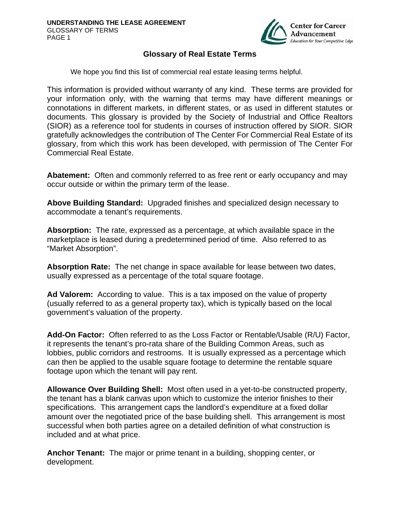

## **Glossary of Real Estate Terms**

We hope you find this list of commercial real estate leasing terms helpful.

This information is provided without warranty of any kind. These terms are provided for your information only, with the warning that terms may have different meanings or connotations in different markets, in different states, or as used in different statutes or documents. This glossary is provided by the Society of Industrial and Office Realtors (SIOR) as a reference tool for students in courses of instruction offered by SIOR. SIOR gratefully acknowledges the contribution of The Center For Commercial Real Estate of its glossary, from which this work has been developed, with permission of The Center For Commercial Real Estate.

**Abatement:** Often and commonly referred to as free rent or early occupancy and may occur outside or within the primary term of the lease.

**Above Building Standard:** Upgraded finishes and specialized design necessary to accommodate a tenant's requirements.

**Absorption:** The rate, expressed as a percentage, at which available space in the marketplace is leased during a predetermined period of time. Also referred to as "Market Absorption".

**Absorption Rate:** The net change in space available for lease between two dates, usually expressed as a percentage of the total square footage.

**Ad Valorem:** According to value. This is a tax imposed on the value of property (usually referred to as a general property tax), which is typically based on the local government's valuation of the property.

**Add-On Factor:** Often referred to as the Loss Factor or Rentable/Usable (R/U) Factor, it represents the tenant's pro-rata share of the Building Common Areas, such as lobbies, public corridors and restrooms. It is usually expressed as a percentage which can then be applied to the usable square footage to determine the rentable square footage upon which the tenant will pay rent.

**Allowance Over Building Shell:** Most often used in a yet-to-be constructed property, the tenant has a blank canvas upon which to customize the interior finishes to their specifications. This arrangement caps the landlord's expenditure at a fixed dollar amount over the negotiated price of the base building shell. This arrangement is most successful when both parties agree on a detailed definition of what construction is included and at what price.

**Anchor Tenant:** The major or prime tenant in a building, shopping center, or development.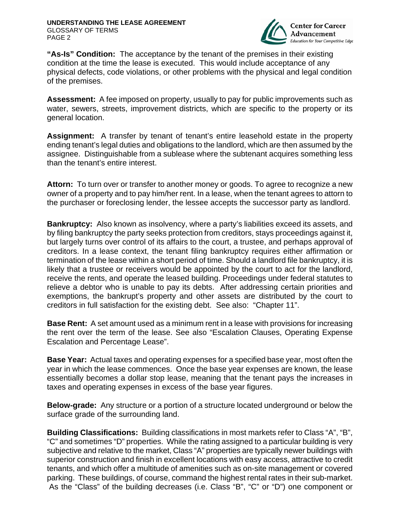

**"As-Is" Condition:** The acceptance by the tenant of the premises in their existing condition at the time the lease is executed. This would include acceptance of any physical defects, code violations, or other problems with the physical and legal condition of the premises.

**Assessment:** A fee imposed on property, usually to pay for public improvements such as water, sewers, streets, improvement districts, which are specific to the property or its general location.

**Assignment:** A transfer by tenant of tenant's entire leasehold estate in the property ending tenant's legal duties and obligations to the landlord, which are then assumed by the assignee. Distinguishable from a sublease where the subtenant acquires something less than the tenant's entire interest.

**Attorn:** To turn over or transfer to another money or goods. To agree to recognize a new owner of a property and to pay him/her rent. In a lease, when the tenant agrees to attorn to the purchaser or foreclosing lender, the lessee accepts the successor party as landlord.

**Bankruptcy:** Also known as insolvency, where a party's liabilities exceed its assets, and by filing bankruptcy the party seeks protection from creditors, stays proceedings against it, but largely turns over control of its affairs to the court, a trustee, and perhaps approval of creditors. In a lease context, the tenant filing bankruptcy requires either affirmation or termination of the lease within a short period of time. Should a landlord file bankruptcy, it is likely that a trustee or receivers would be appointed by the court to act for the landlord, receive the rents, and operate the leased building. Proceedings under federal statutes to relieve a debtor who is unable to pay its debts. After addressing certain priorities and exemptions, the bankrupt's property and other assets are distributed by the court to creditors in full satisfaction for the existing debt. See also: "Chapter 11".

**Base Rent:** A set amount used as a minimum rent in a lease with provisions for increasing the rent over the term of the lease. See also "Escalation Clauses, Operating Expense Escalation and Percentage Lease".

**Base Year:** Actual taxes and operating expenses for a specified base year, most often the year in which the lease commences. Once the base year expenses are known, the lease essentially becomes a dollar stop lease, meaning that the tenant pays the increases in taxes and operating expenses in excess of the base year figures.

**Below-grade:** Any structure or a portion of a structure located underground or below the surface grade of the surrounding land.

**Building Classifications:** Building classifications in most markets refer to Class "A", "B", "C" and sometimes "D" properties. While the rating assigned to a particular building is very subjective and relative to the market, Class "A" properties are typically newer buildings with superior construction and finish in excellent locations with easy access, attractive to credit tenants, and which offer a multitude of amenities such as on-site management or covered parking. These buildings, of course, command the highest rental rates in their sub-market. As the "Class" of the building decreases (i.e. Class "B", "C" or "D") one component or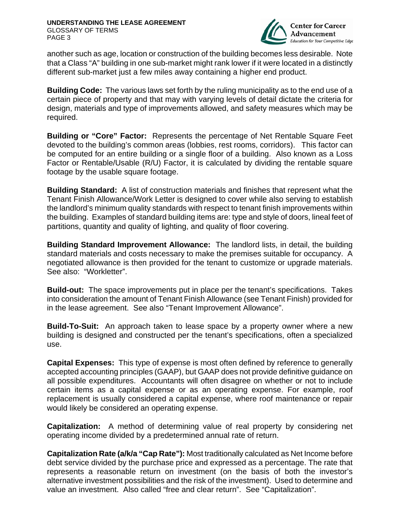

another such as age, location or construction of the building becomes less desirable. Note that a Class "A" building in one sub-market might rank lower if it were located in a distinctly different sub-market just a few miles away containing a higher end product.

**Building Code:** The various laws set forth by the ruling municipality as to the end use of a certain piece of property and that may with varying levels of detail dictate the criteria for design, materials and type of improvements allowed, and safety measures which may be required.

**Building or "Core" Factor:** Represents the percentage of Net Rentable Square Feet devoted to the building's common areas (lobbies, rest rooms, corridors). This factor can be computed for an entire building or a single floor of a building. Also known as a Loss Factor or Rentable/Usable (R/U) Factor, it is calculated by dividing the rentable square footage by the usable square footage.

**Building Standard:** A list of construction materials and finishes that represent what the Tenant Finish Allowance/Work Letter is designed to cover while also serving to establish the landlord's minimum quality standards with respect to tenant finish improvements within the building. Examples of standard building items are: type and style of doors, lineal feet of partitions, quantity and quality of lighting, and quality of floor covering.

**Building Standard Improvement Allowance:** The landlord lists, in detail, the building standard materials and costs necessary to make the premises suitable for occupancy. A negotiated allowance is then provided for the tenant to customize or upgrade materials. See also: "Workletter".

**Build-out:** The space improvements put in place per the tenant's specifications. Takes into consideration the amount of Tenant Finish Allowance (see Tenant Finish) provided for in the lease agreement. See also "Tenant Improvement Allowance".

**Build-To-Suit:** An approach taken to lease space by a property owner where a new building is designed and constructed per the tenant's specifications, often a specialized use.

**Capital Expenses:** This type of expense is most often defined by reference to generally accepted accounting principles (GAAP), but GAAP does not provide definitive guidance on all possible expenditures. Accountants will often disagree on whether or not to include certain items as a capital expense or as an operating expense. For example, roof replacement is usually considered a capital expense, where roof maintenance or repair would likely be considered an operating expense.

**Capitalization:** A method of determining value of real property by considering net operating income divided by a predetermined annual rate of return.

**Capitalization Rate (a/k/a "Cap Rate"):** Most traditionally calculated as Net Income before debt service divided by the purchase price and expressed as a percentage. The rate that represents a reasonable return on investment (on the basis of both the investor's alternative investment possibilities and the risk of the investment). Used to determine and value an investment. Also called "free and clear return". See "Capitalization".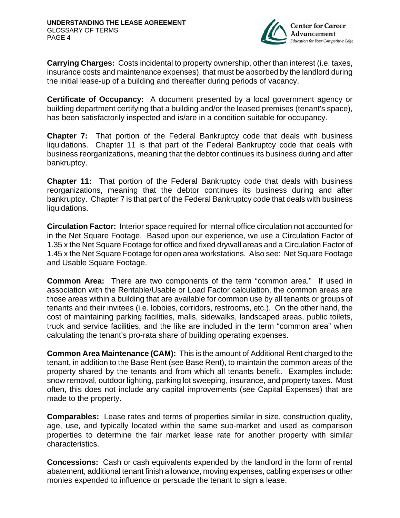

**Carrying Charges:** Costs incidental to property ownership, other than interest (i.e. taxes, insurance costs and maintenance expenses), that must be absorbed by the landlord during the initial lease-up of a building and thereafter during periods of vacancy.

**Certificate of Occupancy:** A document presented by a local government agency or building department certifying that a building and/or the leased premises (tenant's space), has been satisfactorily inspected and is/are in a condition suitable for occupancy.

**Chapter 7:** That portion of the Federal Bankruptcy code that deals with business liquidations. Chapter 11 is that part of the Federal Bankruptcy code that deals with business reorganizations, meaning that the debtor continues its business during and after bankruptcy.

**Chapter 11:** That portion of the Federal Bankruptcy code that deals with business reorganizations, meaning that the debtor continues its business during and after bankruptcy. Chapter 7 is that part of the Federal Bankruptcy code that deals with business liquidations.

**Circulation Factor:** Interior space required for internal office circulation not accounted for in the Net Square Footage. Based upon our experience, we use a Circulation Factor of 1.35 x the Net Square Footage for office and fixed drywall areas and a Circulation Factor of 1.45 x the Net Square Footage for open area workstations. Also see: Net Square Footage and Usable Square Footage.

**Common Area:** There are two components of the term "common area." If used in association with the Rentable/Usable or Load Factor calculation, the common areas are those areas within a building that are available for common use by all tenants or groups of tenants and their invitees (i.e. lobbies, corridors, restrooms, etc.). On the other hand, the cost of maintaining parking facilities, malls, sidewalks, landscaped areas, public toilets, truck and service facilities, and the like are included in the term "common area" when calculating the tenant's pro-rata share of building operating expenses.

**Common Area Maintenance (CAM):** This is the amount of Additional Rent charged to the tenant, in addition to the Base Rent (see Base Rent), to maintain the common areas of the property shared by the tenants and from which all tenants benefit. Examples include: snow removal, outdoor lighting, parking lot sweeping, insurance, and property taxes. Most often, this does not include any capital improvements (see Capital Expenses) that are made to the property.

**Comparables:** Lease rates and terms of properties similar in size, construction quality, age, use, and typically located within the same sub-market and used as comparison properties to determine the fair market lease rate for another property with similar characteristics.

**Concessions:** Cash or cash equivalents expended by the landlord in the form of rental abatement, additional tenant finish allowance, moving expenses, cabling expenses or other monies expended to influence or persuade the tenant to sign a lease.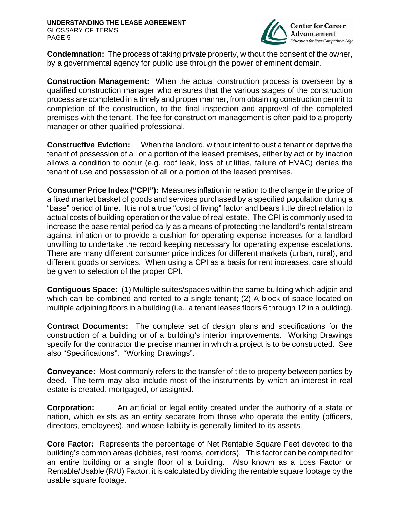

**Condemnation:** The process of taking private property, without the consent of the owner, by a governmental agency for public use through the power of eminent domain.

**Construction Management:** When the actual construction process is overseen by a qualified construction manager who ensures that the various stages of the construction process are completed in a timely and proper manner, from obtaining construction permit to completion of the construction, to the final inspection and approval of the completed premises with the tenant. The fee for construction management is often paid to a property manager or other qualified professional.

**Constructive Eviction:** When the landlord, without intent to oust a tenant or deprive the tenant of possession of all or a portion of the leased premises, either by act or by inaction allows a condition to occur (e.g. roof leak, loss of utilities, failure of HVAC) denies the tenant of use and possession of all or a portion of the leased premises.

**Consumer Price Index ("CPI"):** Measures inflation in relation to the change in the price of a fixed market basket of goods and services purchased by a specified population during a "base" period of time. It is not a true "cost of living" factor and bears little direct relation to actual costs of building operation or the value of real estate. The CPI is commonly used to increase the base rental periodically as a means of protecting the landlord's rental stream against inflation or to provide a cushion for operating expense increases for a landlord unwilling to undertake the record keeping necessary for operating expense escalations. There are many different consumer price indices for different markets (urban, rural), and different goods or services. When using a CPI as a basis for rent increases, care should be given to selection of the proper CPI.

**Contiguous Space:** (1) Multiple suites/spaces within the same building which adjoin and which can be combined and rented to a single tenant; (2) A block of space located on multiple adjoining floors in a building (i.e., a tenant leases floors 6 through 12 in a building).

**Contract Documents:** The complete set of design plans and specifications for the construction of a building or of a building's interior improvements. Working Drawings specify for the contractor the precise manner in which a project is to be constructed. See also "Specifications". "Working Drawings".

**Conveyance:** Most commonly refers to the transfer of title to property between parties by deed. The term may also include most of the instruments by which an interest in real estate is created, mortgaged, or assigned.

**Corporation:** An artificial or legal entity created under the authority of a state or nation, which exists as an entity separate from those who operate the entity (officers, directors, employees), and whose liability is generally limited to its assets.

**Core Factor:** Represents the percentage of Net Rentable Square Feet devoted to the building's common areas (lobbies, rest rooms, corridors). This factor can be computed for an entire building or a single floor of a building. Also known as a Loss Factor or Rentable/Usable (R/U) Factor, it is calculated by dividing the rentable square footage by the usable square footage.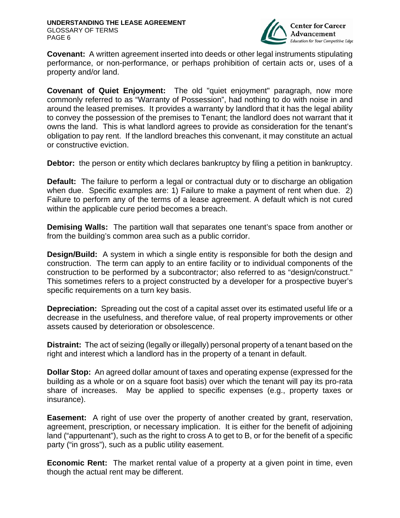

**Covenant:** A written agreement inserted into deeds or other legal instruments stipulating performance, or non-performance, or perhaps prohibition of certain acts or, uses of a property and/or land.

**Covenant of Quiet Enjoyment:** The old "quiet enjoyment" paragraph, now more commonly referred to as "Warranty of Possession", had nothing to do with noise in and around the leased premises. It provides a warranty by landlord that it has the legal ability to convey the possession of the premises to Tenant; the landlord does not warrant that it owns the land. This is what landlord agrees to provide as consideration for the tenant's obligation to pay rent. If the landlord breaches this convenant, it may constitute an actual or constructive eviction.

**Debtor:** the person or entity which declares bankruptcy by filing a petition in bankruptcy.

**Default:** The failure to perform a legal or contractual duty or to discharge an obligation when due. Specific examples are: 1) Failure to make a payment of rent when due. 2) Failure to perform any of the terms of a lease agreement. A default which is not cured within the applicable cure period becomes a breach.

**Demising Walls:** The partition wall that separates one tenant's space from another or from the building's common area such as a public corridor.

**Design/Build:** A system in which a single entity is responsible for both the design and construction. The term can apply to an entire facility or to individual components of the construction to be performed by a subcontractor; also referred to as "design/construct." This sometimes refers to a project constructed by a developer for a prospective buyer's specific requirements on a turn key basis.

**Depreciation:** Spreading out the cost of a capital asset over its estimated useful life or a decrease in the usefulness, and therefore value, of real property improvements or other assets caused by deterioration or obsolescence.

**Distraint:** The act of seizing (legally or illegally) personal property of a tenant based on the right and interest which a landlord has in the property of a tenant in default.

**Dollar Stop:** An agreed dollar amount of taxes and operating expense (expressed for the building as a whole or on a square foot basis) over which the tenant will pay its pro-rata share of increases. May be applied to specific expenses (e.g., property taxes or insurance).

**Easement:** A right of use over the property of another created by grant, reservation, agreement, prescription, or necessary implication. It is either for the benefit of adjoining land ("appurtenant"), such as the right to cross A to get to B, or for the benefit of a specific party ("in gross"), such as a public utility easement.

**Economic Rent:** The market rental value of a property at a given point in time, even though the actual rent may be different.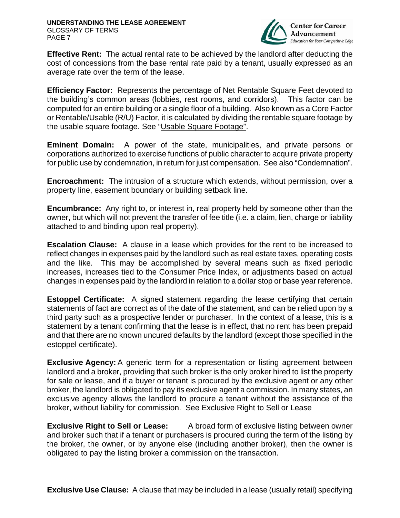

**Effective Rent:** The actual rental rate to be achieved by the landlord after deducting the cost of concessions from the base rental rate paid by a tenant, usually expressed as an average rate over the term of the lease.

**Efficiency Factor:** Represents the percentage of Net Rentable Square Feet devoted to the building's common areas (lobbies, rest rooms, and corridors). This factor can be computed for an entire building or a single floor of a building. Also known as a Core Factor or Rentable/Usable (R/U) Factor, it is calculated by dividing the rentable square footage by the usable square footage. See "Usable Square Footage".

**Eminent Domain:** A power of the state, municipalities, and private persons or corporations authorized to exercise functions of public character to acquire private property for public use by condemnation, in return for just compensation. See also "Condemnation".

**Encroachment:** The intrusion of a structure which extends, without permission, over a property line, easement boundary or building setback line.

**Encumbrance:** Any right to, or interest in, real property held by someone other than the owner, but which will not prevent the transfer of fee title (i.e. a claim, lien, charge or liability attached to and binding upon real property).

**Escalation Clause:** A clause in a lease which provides for the rent to be increased to reflect changes in expenses paid by the landlord such as real estate taxes, operating costs and the like. This may be accomplished by several means such as fixed periodic increases, increases tied to the Consumer Price Index, or adjustments based on actual changes in expenses paid by the landlord in relation to a dollar stop or base year reference.

**Estoppel Certificate:** A signed statement regarding the lease certifying that certain statements of fact are correct as of the date of the statement, and can be relied upon by a third party such as a prospective lender or purchaser. In the context of a lease, this is a statement by a tenant confirming that the lease is in effect, that no rent has been prepaid and that there are no known uncured defaults by the landlord (except those specified in the estoppel certificate).

**Exclusive Agency:** A generic term for a representation or listing agreement between landlord and a broker, providing that such broker is the only broker hired to list the property for sale or lease, and if a buyer or tenant is procured by the exclusive agent or any other broker, the landlord is obligated to pay its exclusive agent a commission. In many states, an exclusive agency allows the landlord to procure a tenant without the assistance of the broker, without liability for commission. See Exclusive Right to Sell or Lease

**Exclusive Right to Sell or Lease:** A broad form of exclusive listing between owner and broker such that if a tenant or purchasers is procured during the term of the listing by the broker, the owner, or by anyone else (including another broker), then the owner is obligated to pay the listing broker a commission on the transaction.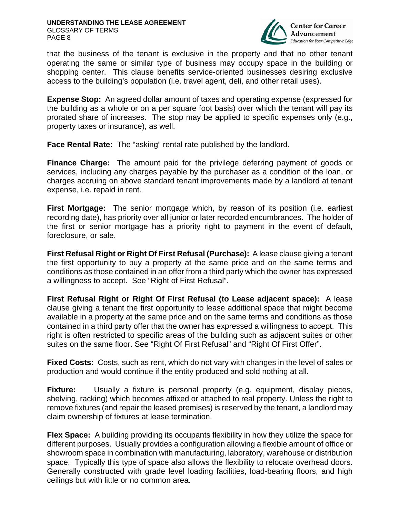

that the business of the tenant is exclusive in the property and that no other tenant operating the same or similar type of business may occupy space in the building or shopping center. This clause benefits service-oriented businesses desiring exclusive access to the building's population (i.e. travel agent, deli, and other retail uses).

**Expense Stop:** An agreed dollar amount of taxes and operating expense (expressed for the building as a whole or on a per square foot basis) over which the tenant will pay its prorated share of increases. The stop may be applied to specific expenses only (e.g., property taxes or insurance), as well.

**Face Rental Rate:** The "asking" rental rate published by the landlord.

**Finance Charge:** The amount paid for the privilege deferring payment of goods or services, including any charges payable by the purchaser as a condition of the loan, or charges accruing on above standard tenant improvements made by a landlord at tenant expense, i.e. repaid in rent.

**First Mortgage:** The senior mortgage which, by reason of its position (i.e. earliest recording date), has priority over all junior or later recorded encumbrances. The holder of the first or senior mortgage has a priority right to payment in the event of default, foreclosure, or sale.

**First Refusal Right or Right Of First Refusal (Purchase):** A lease clause giving a tenant the first opportunity to buy a property at the same price and on the same terms and conditions as those contained in an offer from a third party which the owner has expressed a willingness to accept. See "Right of First Refusal".

**First Refusal Right or Right Of First Refusal (to Lease adjacent space):** A lease clause giving a tenant the first opportunity to lease additional space that might become available in a property at the same price and on the same terms and conditions as those contained in a third party offer that the owner has expressed a willingness to accept. This right is often restricted to specific areas of the building such as adjacent suites or other suites on the same floor. See "Right Of First Refusal" and "Right Of First Offer".

**Fixed Costs:** Costs, such as rent, which do not vary with changes in the level of sales or production and would continue if the entity produced and sold nothing at all.

**Fixture:** Usually a fixture is personal property (e.g. equipment, display pieces, shelving, racking) which becomes affixed or attached to real property. Unless the right to remove fixtures (and repair the leased premises) is reserved by the tenant, a landlord may claim ownership of fixtures at lease termination.

**Flex Space:** A building providing its occupants flexibility in how they utilize the space for different purposes. Usually provides a configuration allowing a flexible amount of office or showroom space in combination with manufacturing, laboratory, warehouse or distribution space. Typically this type of space also allows the flexibility to relocate overhead doors. Generally constructed with grade level loading facilities, load-bearing floors, and high ceilings but with little or no common area.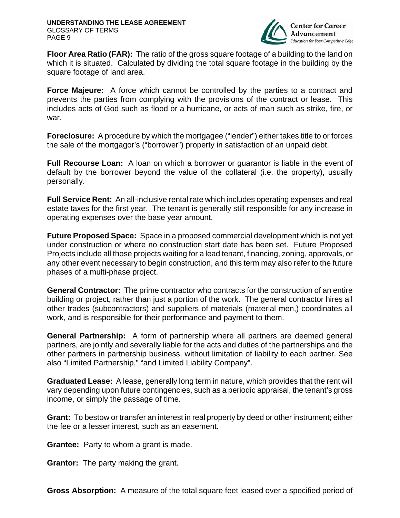

**Floor Area Ratio (FAR):** The ratio of the gross square footage of a building to the land on which it is situated. Calculated by dividing the total square footage in the building by the square footage of land area.

**Force Majeure:** A force which cannot be controlled by the parties to a contract and prevents the parties from complying with the provisions of the contract or lease. This includes acts of God such as flood or a hurricane, or acts of man such as strike, fire, or war.

**Foreclosure:** A procedure by which the mortgagee ("lender") either takes title to or forces the sale of the mortgagor's ("borrower") property in satisfaction of an unpaid debt.

**Full Recourse Loan:** A loan on which a borrower or guarantor is liable in the event of default by the borrower beyond the value of the collateral (i.e. the property), usually personally.

**Full Service Rent:** An all-inclusive rental rate which includes operating expenses and real estate taxes for the first year. The tenant is generally still responsible for any increase in operating expenses over the base year amount.

**Future Proposed Space:** Space in a proposed commercial development which is not yet under construction or where no construction start date has been set. Future Proposed Projects include all those projects waiting for a lead tenant, financing, zoning, approvals, or any other event necessary to begin construction, and this term may also refer to the future phases of a multi-phase project.

**General Contractor:** The prime contractor who contracts for the construction of an entire building or project, rather than just a portion of the work. The general contractor hires all other trades (subcontractors) and suppliers of materials (material men,) coordinates all work, and is responsible for their performance and payment to them.

**General Partnership:** A form of partnership where all partners are deemed general partners, are jointly and severally liable for the acts and duties of the partnerships and the other partners in partnership business, without limitation of liability to each partner. See also "Limited Partnership," "and Limited Liability Company".

**Graduated Lease:** A lease, generally long term in nature, which provides that the rent will vary depending upon future contingencies, such as a periodic appraisal, the tenant's gross income, or simply the passage of time.

**Grant:** To bestow or transfer an interest in real property by deed or other instrument; either the fee or a lesser interest, such as an easement.

**Grantee:** Party to whom a grant is made.

**Grantor:** The party making the grant.

**Gross Absorption:** A measure of the total square feet leased over a specified period of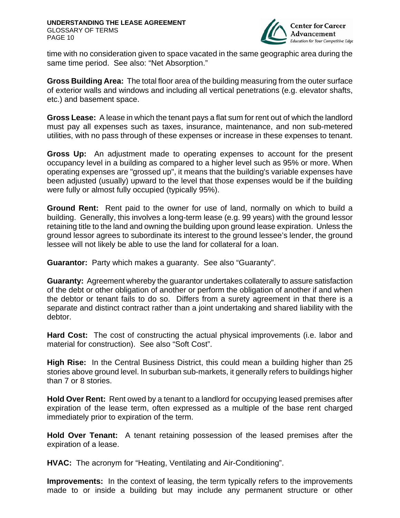

time with no consideration given to space vacated in the same geographic area during the same time period. See also: "Net Absorption."

**Gross Building Area:** The total floor area of the building measuring from the outer surface of exterior walls and windows and including all vertical penetrations (e.g. elevator shafts, etc.) and basement space.

**Gross Lease:** A lease in which the tenant pays a flat sum for rent out of which the landlord must pay all expenses such as taxes, insurance, maintenance, and non sub-metered utilities, with no pass through of these expenses or increase in these expenses to tenant.

**Gross Up:** An adjustment made to operating expenses to account for the present occupancy level in a building as compared to a higher level such as 95% or more. When operating expenses are "grossed up", it means that the building's variable expenses have been adjusted (usually) upward to the level that those expenses would be if the building were fully or almost fully occupied (typically 95%).

**Ground Rent:** Rent paid to the owner for use of land, normally on which to build a building. Generally, this involves a long-term lease (e.g. 99 years) with the ground lessor retaining title to the land and owning the building upon ground lease expiration. Unless the ground lessor agrees to subordinate its interest to the ground lessee's lender, the ground lessee will not likely be able to use the land for collateral for a loan.

**Guarantor:** Party which makes a guaranty. See also "Guaranty".

**Guaranty:** Agreement whereby the guarantor undertakes collaterally to assure satisfaction of the debt or other obligation of another or perform the obligation of another if and when the debtor or tenant fails to do so. Differs from a surety agreement in that there is a separate and distinct contract rather than a joint undertaking and shared liability with the debtor.

**Hard Cost:** The cost of constructing the actual physical improvements (i.e. labor and material for construction). See also "Soft Cost".

**High Rise:** In the Central Business District, this could mean a building higher than 25 stories above ground level. In suburban sub-markets, it generally refers to buildings higher than 7 or 8 stories.

**Hold Over Rent:** Rent owed by a tenant to a landlord for occupying leased premises after expiration of the lease term, often expressed as a multiple of the base rent charged immediately prior to expiration of the term.

**Hold Over Tenant:** A tenant retaining possession of the leased premises after the expiration of a lease.

**HVAC:** The acronym for "Heating, Ventilating and Air-Conditioning".

**Improvements:** In the context of leasing, the term typically refers to the improvements made to or inside a building but may include any permanent structure or other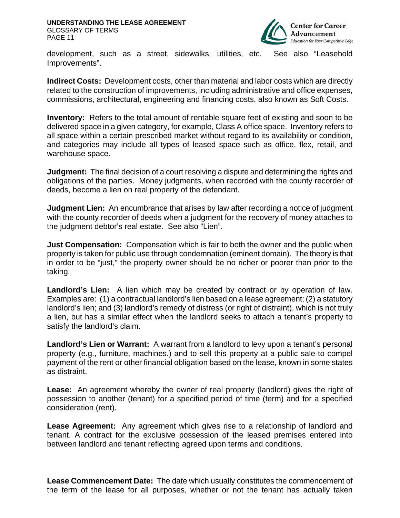

development, such as a street, sidewalks, utilities, etc. See also "Leasehold Improvements".

**Indirect Costs:** Development costs, other than material and labor costs which are directly related to the construction of improvements, including administrative and office expenses, commissions, architectural, engineering and financing costs, also known as Soft Costs.

**Inventory:** Refers to the total amount of rentable square feet of existing and soon to be delivered space in a given category, for example, Class A office space. Inventory refers to all space within a certain prescribed market without regard to its availability or condition, and categories may include all types of leased space such as office, flex, retail, and warehouse space.

**Judgment:** The final decision of a court resolving a dispute and determining the rights and obligations of the parties. Money judgments, when recorded with the county recorder of deeds, become a lien on real property of the defendant.

**Judgment Lien:** An encumbrance that arises by law after recording a notice of judgment with the county recorder of deeds when a judgment for the recovery of money attaches to the judgment debtor's real estate. See also "Lien".

**Just Compensation:** Compensation which is fair to both the owner and the public when property is taken for public use through condemnation (eminent domain). The theory is that in order to be "just," the property owner should be no richer or poorer than prior to the taking.

**Landlord's Lien:** A lien which may be created by contract or by operation of law. Examples are: (1) a contractual landlord's lien based on a lease agreement; (2) a statutory landlord's lien; and (3) landlord's remedy of distress (or right of distraint), which is not truly a lien, but has a similar effect when the landlord seeks to attach a tenant's property to satisfy the landlord's claim.

**Landlord's Lien or Warrant:** A warrant from a landlord to levy upon a tenant's personal property (e.g., furniture, machines.) and to sell this property at a public sale to compel payment of the rent or other financial obligation based on the lease, known in some states as distraint.

**Lease:** An agreement whereby the owner of real property (landlord) gives the right of possession to another (tenant) for a specified period of time (term) and for a specified consideration (rent).

**Lease Agreement:** Any agreement which gives rise to a relationship of landlord and tenant. A contract for the exclusive possession of the leased premises entered into between landlord and tenant reflecting agreed upon terms and conditions.

**Lease Commencement Date:** The date which usually constitutes the commencement of the term of the lease for all purposes, whether or not the tenant has actually taken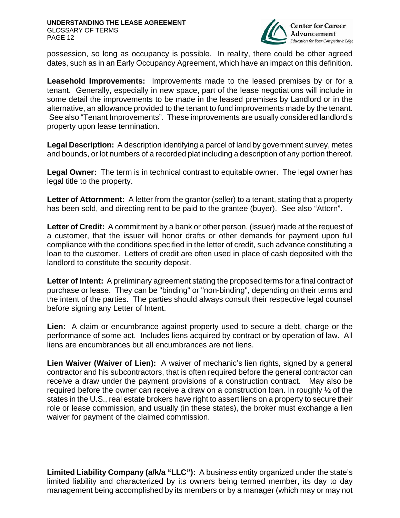

possession, so long as occupancy is possible. In reality, there could be other agreed dates, such as in an Early Occupancy Agreement, which have an impact on this definition.

**Leasehold Improvements:** Improvements made to the leased premises by or for a tenant. Generally, especially in new space, part of the lease negotiations will include in some detail the improvements to be made in the leased premises by Landlord or in the alternative, an allowance provided to the tenant to fund improvements made by the tenant. See also "Tenant Improvements". These improvements are usually considered landlord's property upon lease termination.

**Legal Description:** A description identifying a parcel of land by government survey, metes and bounds, or lot numbers of a recorded plat including a description of any portion thereof.

**Legal Owner:** The term is in technical contrast to equitable owner. The legal owner has legal title to the property.

**Letter of Attornment:** A letter from the grantor (seller) to a tenant, stating that a property has been sold, and directing rent to be paid to the grantee (buyer). See also "Attorn".

**Letter of Credit:** A commitment by a bank or other person, (issuer) made at the request of a customer, that the issuer will honor drafts or other demands for payment upon full compliance with the conditions specified in the letter of credit, such advance constituting a loan to the customer. Letters of credit are often used in place of cash deposited with the landlord to constitute the security deposit.

**Letter of Intent:** A preliminary agreement stating the proposed terms for a final contract of purchase or lease. They can be "binding" or "non-binding", depending on their terms and the intent of the parties. The parties should always consult their respective legal counsel before signing any Letter of Intent.

**Lien:** A claim or encumbrance against property used to secure a debt, charge or the performance of some act. Includes liens acquired by contract or by operation of law. All liens are encumbrances but all encumbrances are not liens.

**Lien Waiver (Waiver of Lien):** A waiver of mechanic's lien rights, signed by a general contractor and his subcontractors, that is often required before the general contractor can receive a draw under the payment provisions of a construction contract. May also be required before the owner can receive a draw on a construction loan. In roughly ½ of the states in the U.S., real estate brokers have right to assert liens on a property to secure their role or lease commission, and usually (in these states), the broker must exchange a lien waiver for payment of the claimed commission.

**Limited Liability Company (a/k/a "LLC"):** A business entity organized under the state's limited liability and characterized by its owners being termed member, its day to day management being accomplished by its members or by a manager (which may or may not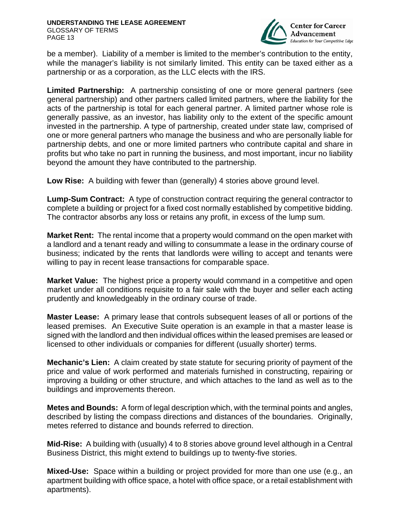

be a member). Liability of a member is limited to the member's contribution to the entity, while the manager's liability is not similarly limited. This entity can be taxed either as a partnership or as a corporation, as the LLC elects with the IRS.

**Limited Partnership:** A partnership consisting of one or more general partners (see general partnership) and other partners called limited partners, where the liability for the acts of the partnership is total for each general partner. A limited partner whose role is generally passive, as an investor, has liability only to the extent of the specific amount invested in the partnership. A type of partnership, created under state law, comprised of one or more general partners who manage the business and who are personally liable for partnership debts, and one or more limited partners who contribute capital and share in profits but who take no part in running the business, and most important, incur no liability beyond the amount they have contributed to the partnership.

**Low Rise:** A building with fewer than (generally) 4 stories above ground level.

**Lump-Sum Contract:** A type of construction contract requiring the general contractor to complete a building or project for a fixed cost normally established by competitive bidding. The contractor absorbs any loss or retains any profit, in excess of the lump sum.

**Market Rent:** The rental income that a property would command on the open market with a landlord and a tenant ready and willing to consummate a lease in the ordinary course of business; indicated by the rents that landlords were willing to accept and tenants were willing to pay in recent lease transactions for comparable space.

**Market Value:** The highest price a property would command in a competitive and open market under all conditions requisite to a fair sale with the buyer and seller each acting prudently and knowledgeably in the ordinary course of trade.

**Master Lease:** A primary lease that controls subsequent leases of all or portions of the leased premises. An Executive Suite operation is an example in that a master lease is signed with the landlord and then individual offices within the leased premises are leased or licensed to other individuals or companies for different (usually shorter) terms.

**Mechanic's Lien:** A claim created by state statute for securing priority of payment of the price and value of work performed and materials furnished in constructing, repairing or improving a building or other structure, and which attaches to the land as well as to the buildings and improvements thereon.

**Metes and Bounds:** A form of legal description which, with the terminal points and angles, described by listing the compass directions and distances of the boundaries. Originally, metes referred to distance and bounds referred to direction.

**Mid-Rise:** A building with (usually) 4 to 8 stories above ground level although in a Central Business District, this might extend to buildings up to twenty-five stories.

**Mixed-Use:** Space within a building or project provided for more than one use (e.g., an apartment building with office space, a hotel with office space, or a retail establishment with apartments).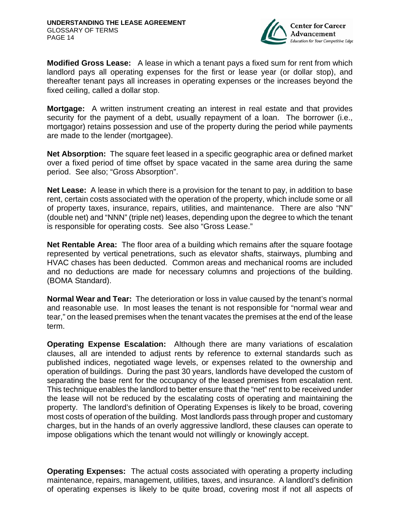

**Modified Gross Lease:** A lease in which a tenant pays a fixed sum for rent from which landlord pays all operating expenses for the first or lease year (or dollar stop), and thereafter tenant pays all increases in operating expenses or the increases beyond the fixed ceiling, called a dollar stop.

**Mortgage:** A written instrument creating an interest in real estate and that provides security for the payment of a debt, usually repayment of a loan. The borrower (i.e., mortgagor) retains possession and use of the property during the period while payments are made to the lender (mortgagee).

**Net Absorption:** The square feet leased in a specific geographic area or defined market over a fixed period of time offset by space vacated in the same area during the same period. See also; "Gross Absorption".

**Net Lease:** A lease in which there is a provision for the tenant to pay, in addition to base rent, certain costs associated with the operation of the property, which include some or all of property taxes, insurance, repairs, utilities, and maintenance. There are also "NN" (double net) and "NNN" (triple net) leases, depending upon the degree to which the tenant is responsible for operating costs. See also "Gross Lease."

**Net Rentable Area:** The floor area of a building which remains after the square footage represented by vertical penetrations, such as elevator shafts, stairways, plumbing and HVAC chases has been deducted. Common areas and mechanical rooms are included and no deductions are made for necessary columns and projections of the building. (BOMA Standard).

**Normal Wear and Tear:** The deterioration or loss in value caused by the tenant's normal and reasonable use. In most leases the tenant is not responsible for "normal wear and tear," on the leased premises when the tenant vacates the premises at the end of the lease term.

**Operating Expense Escalation:** Although there are many variations of escalation clauses, all are intended to adjust rents by reference to external standards such as published indices, negotiated wage levels, or expenses related to the ownership and operation of buildings. During the past 30 years, landlords have developed the custom of separating the base rent for the occupancy of the leased premises from escalation rent. This technique enables the landlord to better ensure that the "net" rent to be received under the lease will not be reduced by the escalating costs of operating and maintaining the property. The landlord's definition of Operating Expenses is likely to be broad, covering most costs of operation of the building. Most landlords pass through proper and customary charges, but in the hands of an overly aggressive landlord, these clauses can operate to impose obligations which the tenant would not willingly or knowingly accept.

**Operating Expenses:** The actual costs associated with operating a property including maintenance, repairs, management, utilities, taxes, and insurance. A landlord's definition of operating expenses is likely to be quite broad, covering most if not all aspects of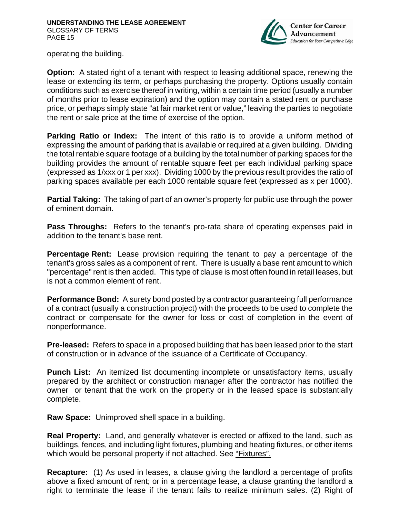

operating the building.

**Option:** A stated right of a tenant with respect to leasing additional space, renewing the lease or extending its term, or perhaps purchasing the property. Options usually contain conditions such as exercise thereof in writing, within a certain time period (usually a number of months prior to lease expiration) and the option may contain a stated rent or purchase price, or perhaps simply state "at fair market rent or value," leaving the parties to negotiate the rent or sale price at the time of exercise of the option.

**Parking Ratio or Index:** The intent of this ratio is to provide a uniform method of expressing the amount of parking that is available or required at a given building. Dividing the total rentable square footage of a building by the total number of parking spaces for the building provides the amount of rentable square feet per each individual parking space (expressed as 1/xxx or 1 per xxx). Dividing 1000 by the previous result provides the ratio of parking spaces available per each 1000 rentable square feet (expressed as x per 1000).

**Partial Taking:** The taking of part of an owner's property for public use through the power of eminent domain.

**Pass Throughs:** Refers to the tenant's pro-rata share of operating expenses paid in addition to the tenant's base rent.

**Percentage Rent:** Lease provision requiring the tenant to pay a percentage of the tenant's gross sales as a component of rent. There is usually a base rent amount to which "percentage" rent is then added. This type of clause is most often found in retail leases, but is not a common element of rent.

**Performance Bond:** A surety bond posted by a contractor quaranteeing full performance of a contract (usually a construction project) with the proceeds to be used to complete the contract or compensate for the owner for loss or cost of completion in the event of nonperformance.

**Pre-leased:** Refers to space in a proposed building that has been leased prior to the start of construction or in advance of the issuance of a Certificate of Occupancy.

**Punch List:** An itemized list documenting incomplete or unsatisfactory items, usually prepared by the architect or construction manager after the contractor has notified the owner or tenant that the work on the property or in the leased space is substantially complete.

**Raw Space:** Unimproved shell space in a building.

**Real Property:** Land, and generally whatever is erected or affixed to the land, such as buildings, fences, and including light fixtures, plumbing and heating fixtures, or other items which would be personal property if not attached. See "Fixtures".

**Recapture:** (1) As used in leases, a clause giving the landlord a percentage of profits above a fixed amount of rent; or in a percentage lease, a clause granting the landlord a right to terminate the lease if the tenant fails to realize minimum sales. (2) Right of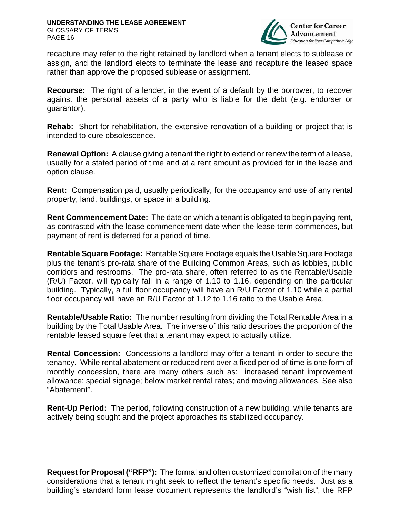

recapture may refer to the right retained by landlord when a tenant elects to sublease or assign, and the landlord elects to terminate the lease and recapture the leased space rather than approve the proposed sublease or assignment.

**Recourse:** The right of a lender, in the event of a default by the borrower, to recover against the personal assets of a party who is liable for the debt (e.g. endorser or guarantor).

**Rehab:** Short for rehabilitation, the extensive renovation of a building or project that is intended to cure obsolescence.

**Renewal Option:** A clause giving a tenant the right to extend or renew the term of a lease, usually for a stated period of time and at a rent amount as provided for in the lease and option clause.

**Rent:** Compensation paid, usually periodically, for the occupancy and use of any rental property, land, buildings, or space in a building.

**Rent Commencement Date:** The date on which a tenant is obligated to begin paying rent, as contrasted with the lease commencement date when the lease term commences, but payment of rent is deferred for a period of time.

**Rentable Square Footage:** Rentable Square Footage equals the Usable Square Footage plus the tenant's pro-rata share of the Building Common Areas, such as lobbies, public corridors and restrooms. The pro-rata share, often referred to as the Rentable/Usable (R/U) Factor, will typically fall in a range of 1.10 to 1.16, depending on the particular building. Typically, a full floor occupancy will have an R/U Factor of 1.10 while a partial floor occupancy will have an R/U Factor of 1.12 to 1.16 ratio to the Usable Area.

**Rentable/Usable Ratio:** The number resulting from dividing the Total Rentable Area in a building by the Total Usable Area. The inverse of this ratio describes the proportion of the rentable leased square feet that a tenant may expect to actually utilize.

**Rental Concession:** Concessions a landlord may offer a tenant in order to secure the tenancy. While rental abatement or reduced rent over a fixed period of time is one form of monthly concession, there are many others such as: increased tenant improvement allowance; special signage; below market rental rates; and moving allowances. See also "Abatement".

**Rent-Up Period:** The period, following construction of a new building, while tenants are actively being sought and the project approaches its stabilized occupancy.

**Request for Proposal ("RFP"):** The formal and often customized compilation of the many considerations that a tenant might seek to reflect the tenant's specific needs. Just as a building's standard form lease document represents the landlord's "wish list", the RFP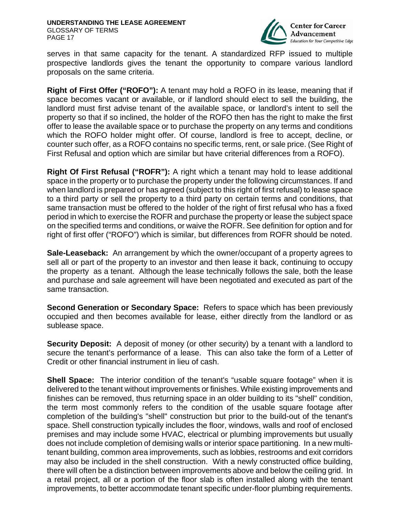

serves in that same capacity for the tenant. A standardized RFP issued to multiple prospective landlords gives the tenant the opportunity to compare various landlord proposals on the same criteria.

**Right of First Offer ("ROFO"):** A tenant may hold a ROFO in its lease, meaning that if space becomes vacant or available, or if landlord should elect to sell the building, the landlord must first advise tenant of the available space, or landlord's intent to sell the property so that if so inclined, the holder of the ROFO then has the right to make the first offer to lease the available space or to purchase the property on any terms and conditions which the ROFO holder might offer. Of course, landlord is free to accept, decline, or counter such offer, as a ROFO contains no specific terms, rent, or sale price. (See Right of First Refusal and option which are similar but have criterial differences from a ROFO).

**Right Of First Refusal ("ROFR"):** A right which a tenant may hold to lease additional space in the property or to purchase the property under the following circumstances. If and when landlord is prepared or has agreed (subject to this right of first refusal) to lease space to a third party or sell the property to a third party on certain terms and conditions, that same transaction must be offered to the holder of the right of first refusal who has a fixed period in which to exercise the ROFR and purchase the property or lease the subject space on the specified terms and conditions, or waive the ROFR. See definition for option and for right of first offer ("ROFO") which is similar, but differences from ROFR should be noted.

**Sale-Leaseback:** An arrangement by which the owner/occupant of a property agrees to sell all or part of the property to an investor and then lease it back, continuing to occupy the property as a tenant. Although the lease technically follows the sale, both the lease and purchase and sale agreement will have been negotiated and executed as part of the same transaction.

**Second Generation or Secondary Space:** Refers to space which has been previously occupied and then becomes available for lease, either directly from the landlord or as sublease space.

**Security Deposit:** A deposit of money (or other security) by a tenant with a landlord to secure the tenant's performance of a lease. This can also take the form of a Letter of Credit or other financial instrument in lieu of cash.

**Shell Space:** The interior condition of the tenant's "usable square footage" when it is delivered to the tenant without improvements or finishes. While existing improvements and finishes can be removed, thus returning space in an older building to its "shell" condition, the term most commonly refers to the condition of the usable square footage after completion of the building's "shell" construction but prior to the build-out of the tenant's space. Shell construction typically includes the floor, windows, walls and roof of enclosed premises and may include some HVAC, electrical or plumbing improvements but usually does not include completion of demising walls or interior space partitioning. In a new multitenant building, common area improvements, such as lobbies, restrooms and exit corridors may also be included in the shell construction. With a newly constructed office building, there will often be a distinction between improvements above and below the ceiling grid. In a retail project, all or a portion of the floor slab is often installed along with the tenant improvements, to better accommodate tenant specific under-floor plumbing requirements.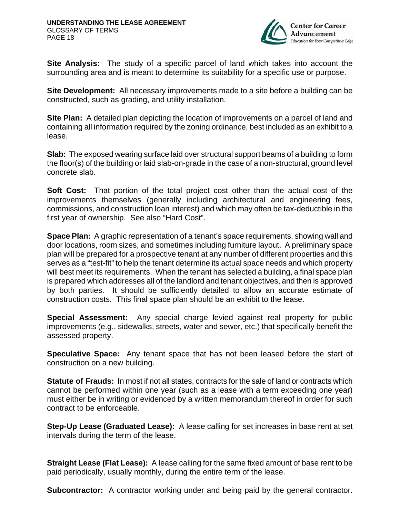

**Site Analysis:** The study of a specific parcel of land which takes into account the surrounding area and is meant to determine its suitability for a specific use or purpose.

**Site Development:** All necessary improvements made to a site before a building can be constructed, such as grading, and utility installation.

**Site Plan:** A detailed plan depicting the location of improvements on a parcel of land and containing all information required by the zoning ordinance, best included as an exhibit to a lease.

**Slab:** The exposed wearing surface laid over structural support beams of a building to form the floor(s) of the building or laid slab-on-grade in the case of a non-structural, ground level concrete slab.

**Soft Cost:** That portion of the total project cost other than the actual cost of the improvements themselves (generally including architectural and engineering fees, commissions, and construction loan interest) and which may often be tax-deductible in the first year of ownership. See also "Hard Cost".

**Space Plan:** A graphic representation of a tenant's space requirements, showing wall and door locations, room sizes, and sometimes including furniture layout. A preliminary space plan will be prepared for a prospective tenant at any number of different properties and this serves as a "test-fit" to help the tenant determine its actual space needs and which property will best meet its requirements. When the tenant has selected a building, a final space plan is prepared which addresses all of the landlord and tenant objectives, and then is approved by both parties. It should be sufficiently detailed to allow an accurate estimate of construction costs. This final space plan should be an exhibit to the lease.

**Special Assessment:** Any special charge levied against real property for public improvements (e.g., sidewalks, streets, water and sewer, etc.) that specifically benefit the assessed property.

**Speculative Space:** Any tenant space that has not been leased before the start of construction on a new building.

**Statute of Frauds:** In most if not all states, contracts for the sale of land or contracts which cannot be performed within one year (such as a lease with a term exceeding one year) must either be in writing or evidenced by a written memorandum thereof in order for such contract to be enforceable.

**Step-Up Lease (Graduated Lease):** A lease calling for set increases in base rent at set intervals during the term of the lease.

**Straight Lease (Flat Lease):** A lease calling for the same fixed amount of base rent to be paid periodically, usually monthly, during the entire term of the lease.

**Subcontractor:** A contractor working under and being paid by the general contractor.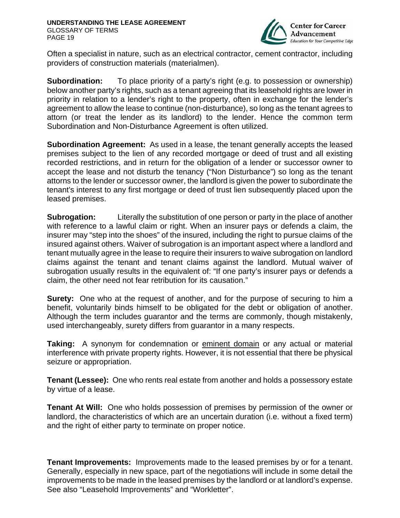

Often a specialist in nature, such as an electrical contractor, cement contractor, including providers of construction materials (materialmen).

**Subordination:** To place priority of a party's right (e.g. to possession or ownership) below another party's rights, such as a tenant agreeing that its leasehold rights are lower in priority in relation to a lender's right to the property, often in exchange for the lender's agreement to allow the lease to continue (non-disturbance), so long as the tenant agrees to attorn (or treat the lender as its landlord) to the lender. Hence the common term Subordination and Non-Disturbance Agreement is often utilized.

**Subordination Agreement:** As used in a lease, the tenant generally accepts the leased premises subject to the lien of any recorded mortgage or deed of trust and all existing recorded restrictions, and in return for the obligation of a lender or successor owner to accept the lease and not disturb the tenancy ("Non Disturbance") so long as the tenant attorns to the lender or successor owner, the landlord is given the power to subordinate the tenant's interest to any first mortgage or deed of trust lien subsequently placed upon the leased premises.

**Subrogation:** Literally the substitution of one person or party in the place of another with reference to a lawful claim or right. When an insurer pays or defends a claim, the insurer may "step into the shoes" of the insured, including the right to pursue claims of the insured against others. Waiver of subrogation is an important aspect where a landlord and tenant mutually agree in the lease to require their insurers to waive subrogation on landlord claims against the tenant and tenant claims against the landlord. Mutual waiver of subrogation usually results in the equivalent of: "If one party's insurer pays or defends a claim, the other need not fear retribution for its causation."

**Surety:** One who at the request of another, and for the purpose of securing to him a benefit, voluntarily binds himself to be obligated for the debt or obligation of another. Although the term includes guarantor and the terms are commonly, though mistakenly, used interchangeably, surety differs from guarantor in a many respects.

**Taking:** A synonym for condemnation or eminent domain or any actual or material interference with private property rights. However, it is not essential that there be physical seizure or appropriation.

**Tenant (Lessee):** One who rents real estate from another and holds a possessory estate by virtue of a lease.

**Tenant At Will:** One who holds possession of premises by permission of the owner or landlord, the characteristics of which are an uncertain duration (i.e. without a fixed term) and the right of either party to terminate on proper notice.

**Tenant Improvements:** Improvements made to the leased premises by or for a tenant. Generally, especially in new space, part of the negotiations will include in some detail the improvements to be made in the leased premises by the landlord or at landlord's expense. See also "Leasehold Improvements" and "Workletter".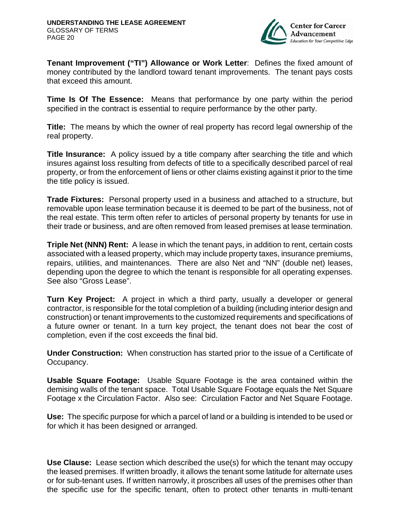

**Tenant Improvement ("TI") Allowance or Work Letter**: Defines the fixed amount of money contributed by the landlord toward tenant improvements. The tenant pays costs that exceed this amount.

**Time Is Of The Essence:** Means that performance by one party within the period specified in the contract is essential to require performance by the other party.

**Title:** The means by which the owner of real property has record legal ownership of the real property.

**Title Insurance:** A policy issued by a title company after searching the title and which insures against loss resulting from defects of title to a specifically described parcel of real property, or from the enforcement of liens or other claims existing against it prior to the time the title policy is issued.

**Trade Fixtures:** Personal property used in a business and attached to a structure, but removable upon lease termination because it is deemed to be part of the business, not of the real estate. This term often refer to articles of personal property by tenants for use in their trade or business, and are often removed from leased premises at lease termination.

**Triple Net (NNN) Rent:** A lease in which the tenant pays, in addition to rent, certain costs associated with a leased property, which may include property taxes, insurance premiums, repairs, utilities, and maintenances. There are also Net and "NN" (double net) leases, depending upon the degree to which the tenant is responsible for all operating expenses. See also "Gross Lease".

**Turn Key Project:** A project in which a third party, usually a developer or general contractor, is responsible for the total completion of a building (including interior design and construction) or tenant improvements to the customized requirements and specifications of a future owner or tenant. In a turn key project, the tenant does not bear the cost of completion, even if the cost exceeds the final bid.

**Under Construction:** When construction has started prior to the issue of a Certificate of Occupancy.

**Usable Square Footage:** Usable Square Footage is the area contained within the demising walls of the tenant space. Total Usable Square Footage equals the Net Square Footage x the Circulation Factor. Also see: Circulation Factor and Net Square Footage.

**Use:** The specific purpose for which a parcel of land or a building is intended to be used or for which it has been designed or arranged.

**Use Clause:** Lease section which described the use(s) for which the tenant may occupy the leased premises. If written broadly, it allows the tenant some latitude for alternate uses or for sub-tenant uses. If written narrowly, it proscribes all uses of the premises other than the specific use for the specific tenant, often to protect other tenants in multi-tenant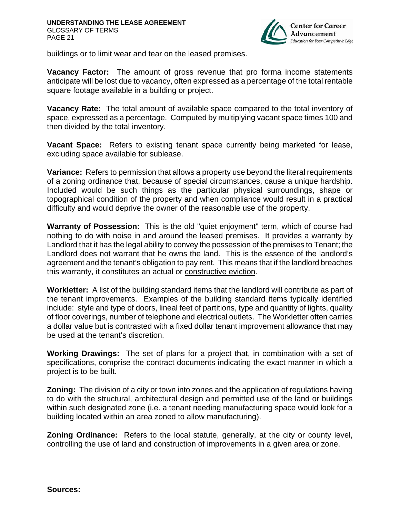

buildings or to limit wear and tear on the leased premises.

**Vacancy Factor:** The amount of gross revenue that pro forma income statements anticipate will be lost due to vacancy, often expressed as a percentage of the total rentable square footage available in a building or project.

**Vacancy Rate:** The total amount of available space compared to the total inventory of space, expressed as a percentage. Computed by multiplying vacant space times 100 and then divided by the total inventory.

**Vacant Space:** Refers to existing tenant space currently being marketed for lease, excluding space available for sublease.

**Variance:** Refers to permission that allows a property use beyond the literal requirements of a zoning ordinance that, because of special circumstances, cause a unique hardship. Included would be such things as the particular physical surroundings, shape or topographical condition of the property and when compliance would result in a practical difficulty and would deprive the owner of the reasonable use of the property.

**Warranty of Possession:** This is the old "quiet enjoyment" term, which of course had nothing to do with noise in and around the leased premises. It provides a warranty by Landlord that it has the legal ability to convey the possession of the premises to Tenant; the Landlord does not warrant that he owns the land. This is the essence of the landlord's agreement and the tenant's obligation to pay rent. This means that if the landlord breaches this warranty, it constitutes an actual or constructive eviction.

**Workletter:** A list of the building standard items that the landlord will contribute as part of the tenant improvements. Examples of the building standard items typically identified include: style and type of doors, lineal feet of partitions, type and quantity of lights, quality of floor coverings, number of telephone and electrical outlets. The Workletter often carries a dollar value but is contrasted with a fixed dollar tenant improvement allowance that may be used at the tenant's discretion.

**Working Drawings:** The set of plans for a project that, in combination with a set of specifications, comprise the contract documents indicating the exact manner in which a project is to be built.

**Zoning:** The division of a city or town into zones and the application of regulations having to do with the structural, architectural design and permitted use of the land or buildings within such designated zone (i.e. a tenant needing manufacturing space would look for a building located within an area zoned to allow manufacturing).

**Zoning Ordinance:** Refers to the local statute, generally, at the city or county level, controlling the use of land and construction of improvements in a given area or zone.